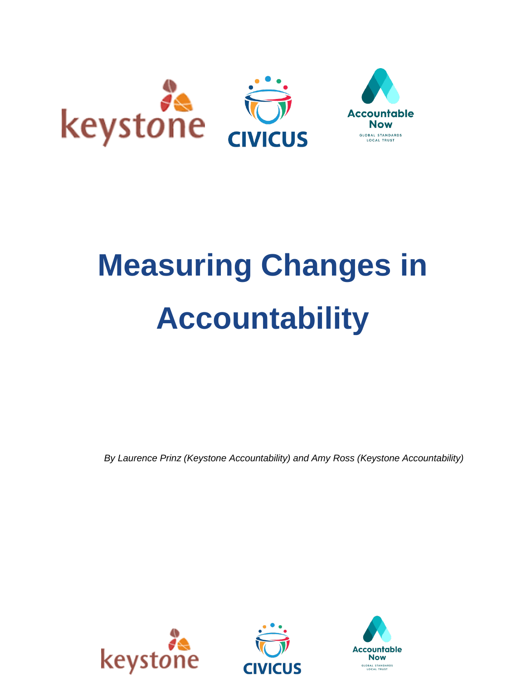

# **Measuring Changes in Accountability**

*By Laurence Prinz (Keystone Accountability) and Amy Ross (Keystone Accountability)*



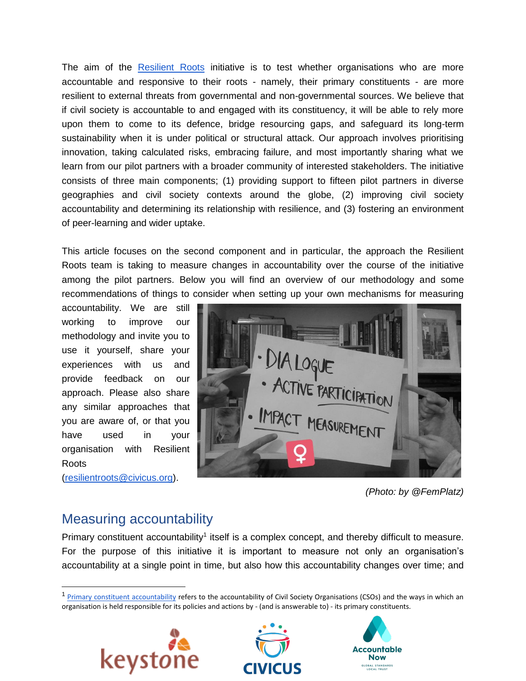The aim of the [Resilient Roots](https://www.civicus.org/index.php/what-we-do/innovate/resilient-roots) initiative is to test whether organisations who are more accountable and responsive to their roots - namely, their primary constituents - are more resilient to external threats from governmental and non-governmental sources. We believe that if civil society is accountable to and engaged with its constituency, it will be able to rely more upon them to come to its defence, bridge resourcing gaps, and safeguard its long-term sustainability when it is under political or structural attack. Our approach involves prioritising innovation, taking calculated risks, embracing failure, and most importantly sharing what we learn from our pilot partners with a broader community of interested stakeholders. The initiative consists of three main components; (1) providing support to fifteen pilot partners in diverse geographies and civil society contexts around the globe, (2) improving civil society accountability and determining its relationship with resilience, and (3) fostering an environment of peer-learning and wider uptake.

This article focuses on the second component and in particular, the approach the Resilient Roots team is taking to measure changes in accountability over the course of the initiative among the pilot partners. Below you will find an overview of our methodology and some recommendations of things to consider when setting up your own mechanisms for measuring

accountability. We are still working to improve our methodology and invite you to use it yourself, share your experiences with us and provide feedback on our approach. Please also share any similar approaches that you are aware of, or that you have used in your organisation with Resilient Roots

[\(resilientroots@civicus.org\)](mailto:resilientroots@civicus.org).



*(Photo: by @FemPlatz)*

# Measuring accountability

Primary constituent accountability<sup>1</sup> itself is a complex concept, and thereby difficult to measure. For the purpose of this initiative it is important to measure not only an organisation's accountability at a single point in time, but also how this accountability changes over time; and

<sup>&</sup>lt;sup>1</sup> [Primary constituent accountability](https://www.civicus.org/index.php/media-center-2/news/civicus-blog/3444-resilient-roots-debunking-the-myths-around-primary-constituent-accountability) refers to the accountability of Civil Society Organisations (CSOs) and the ways in which an organisation is held responsible for its policies and actions by - (and is answerable to) - its primary constituents.





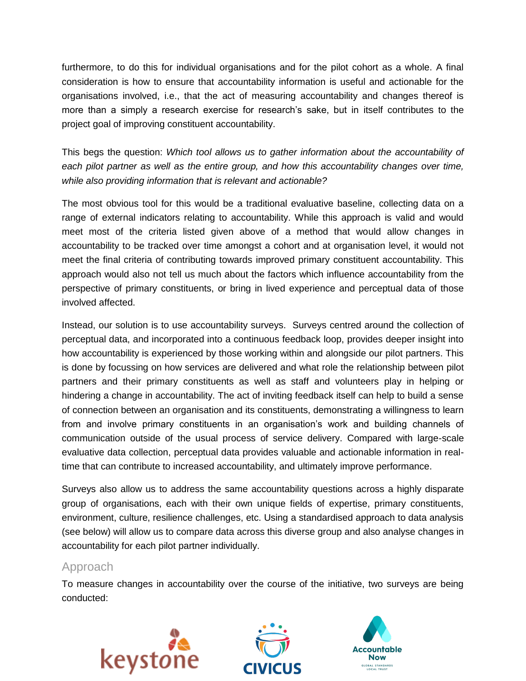furthermore, to do this for individual organisations and for the pilot cohort as a whole. A final consideration is how to ensure that accountability information is useful and actionable for the organisations involved, i.e., that the act of measuring accountability and changes thereof is more than a simply a research exercise for research's sake, but in itself contributes to the project goal of improving constituent accountability.

This begs the question: *Which tool allows us to gather information about the accountability of each pilot partner as well as the entire group, and how this accountability changes over time, while also providing information that is relevant and actionable?* 

The most obvious tool for this would be a traditional evaluative baseline, collecting data on a range of external indicators relating to accountability. While this approach is valid and would meet most of the criteria listed given above of a method that would allow changes in accountability to be tracked over time amongst a cohort and at organisation level, it would not meet the final criteria of contributing towards improved primary constituent accountability. This approach would also not tell us much about the factors which influence accountability from the perspective of primary constituents, or bring in lived experience and perceptual data of those involved affected.

Instead, our solution is to use accountability surveys. Surveys centred around the collection of perceptual data, and incorporated into a continuous feedback loop, provides deeper insight into how accountability is experienced by those working within and alongside our pilot partners. This is done by focussing on how services are delivered and what role the relationship between pilot partners and their primary constituents as well as staff and volunteers play in helping or hindering a change in accountability. The act of inviting feedback itself can help to build a sense of connection between an organisation and its constituents, demonstrating a willingness to learn from and involve primary constituents in an organisation's work and building channels of communication outside of the usual process of service delivery. Compared with large-scale evaluative data collection, perceptual data provides valuable and actionable information in realtime that can contribute to increased accountability, and ultimately improve performance.

Surveys also allow us to address the same accountability questions across a highly disparate group of organisations, each with their own unique fields of expertise, primary constituents, environment, culture, resilience challenges, etc. Using a standardised approach to data analysis (see below) will allow us to compare data across this diverse group and also analyse changes in accountability for each pilot partner individually.

## Approach

To measure changes in accountability over the course of the initiative, two surveys are being conducted:



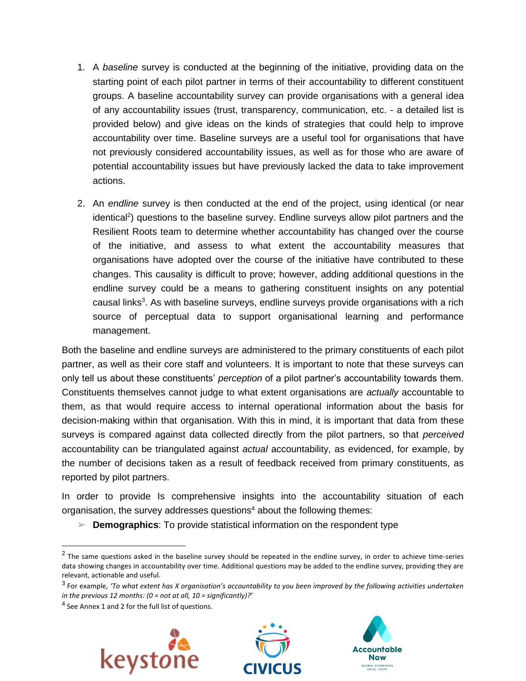- 1. A *baseline* survey is conducted at the beginning of the initiative, providing data on the starting point of each pilot partner in terms of their accountability to different constituent groups. A baseline accountability survey can provide organisations with a general idea of any accountability issues (trust, transparency, communication, etc. - a detailed list is provided below) and give ideas on the kinds of strategies that could help to improve accountability over time. Baseline surveys are a useful tool for organisations that have not previously considered accountability issues, as well as for those who are aware of potential accountability issues but have previously lacked the data to take improvement actions.
- 2. An *endline* survey is then conducted at the end of the project, using identical (or near identical<sup>2</sup>) questions to the baseline survey. Endline surveys allow pilot partners and the Resilient Roots team to determine whether accountability has changed over the course of the initiative, and assess to what extent the accountability measures that organisations have adopted over the course of the initiative have contributed to these changes. This causality is difficult to prove; however, adding additional questions in the endline survey could be a means to gathering constituent insights on any potential causal links<sup>3</sup>. As with baseline surveys, endline surveys provide organisations with a rich source of perceptual data to support organisational learning and performance management.

Both the baseline and endline surveys are administered to the primary constituents of each pilot partner, as well as their core staff and volunteers. It is important to note that these surveys can only tell us about these constituents' *perception* of a pilot partner's accountability towards them. Constituents themselves cannot judge to what extent organisations are *actually* accountable to them, as that would require access to internal operational information about the basis for decision-making within that organisation. With this in mind, it is important that data from these surveys is compared against data collected directly from the pilot partners, so that *perceived*  accountability can be triangulated against *actual* accountability, as evidenced, for example, by the number of decisions taken as a result of feedback received from primary constituents, as reported by pilot partners.

In order to provide Is comprehensive insights into the accountability situation of each organisation, the survey addresses questions<sup>4</sup> about the following themes:

➢ **Demographics**: To provide statistical information on the respondent type

 $\overline{a}$ 







 $^2$  The same questions asked in the baseline survey should be repeated in the endline survey, in order to achieve time-series data showing changes in accountability over time. Additional questions may be added to the endline survey, providing they are relevant, actionable and useful.

<sup>3</sup> For example, *'To what extent has X organisation's accountability to you been improved by the following activities undertaken in the previous 12 months: (0 = not at all, 10 = significantly)?'* 

<sup>&</sup>lt;sup>4</sup> See Annex 1 and 2 for the full list of questions.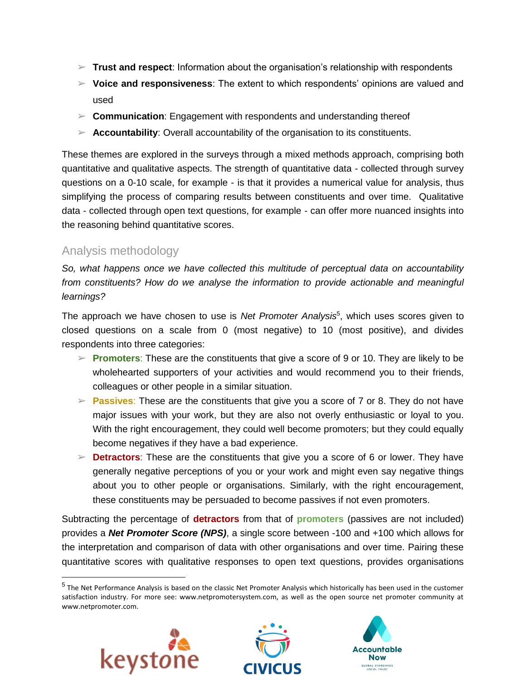- $\triangleright$  **Trust and respect**: Information about the organisation's relationship with respondents
- ➢ **Voice and responsiveness**: The extent to which respondents' opinions are valued and used
- ➢ **Communication**: Engagement with respondents and understanding thereof
- $\triangleright$  **Accountability**: Overall accountability of the organisation to its constituents.

These themes are explored in the surveys through a mixed methods approach, comprising both quantitative and qualitative aspects. The strength of quantitative data - collected through survey questions on a 0-10 scale, for example - is that it provides a numerical value for analysis, thus simplifying the process of comparing results between constituents and over time. Qualitative data - collected through open text questions, for example - can offer more nuanced insights into the reasoning behind quantitative scores.

## Analysis methodology

*So, what happens once we have collected this multitude of perceptual data on accountability from constituents? How do we analyse the information to provide actionable and meaningful learnings?*

The approach we have chosen to use is *Net Promoter Analysis*<sup>5</sup> , which uses scores given to closed questions on a scale from 0 (most negative) to 10 (most positive), and divides respondents into three categories:

- ➢ **Promoters**: These are the constituents that give a score of 9 or 10. They are likely to be wholehearted supporters of your activities and would recommend you to their friends, colleagues or other people in a similar situation.
- ➢ **Passives**: These are the constituents that give you a score of 7 or 8. They do not have major issues with your work, but they are also not overly enthusiastic or loyal to you. With the right encouragement, they could well become promoters; but they could equally become negatives if they have a bad experience.
- ➢ **Detractors**: These are the constituents that give you a score of 6 or lower. They have generally negative perceptions of you or your work and might even say negative things about you to other people or organisations. Similarly, with the right encouragement, these constituents may be persuaded to become passives if not even promoters.

Subtracting the percentage of **detractors** from that of **promoters** (passives are not included) provides a *Net Promoter Score (NPS)*, a single score between -100 and +100 which allows for the interpretation and comparison of data with other organisations and over time. Pairing these quantitative scores with qualitative responses to open text questions, provides organisations

<sup>&</sup>lt;sup>5</sup> The Net Performance Analysis is based on the classic Net Promoter Analysis which historically has been used in the customer satisfaction industry. For more see: www.netpromotersystem.com, as well as the open source net promoter community at www.netpromoter.com.



 $\overline{a}$ 



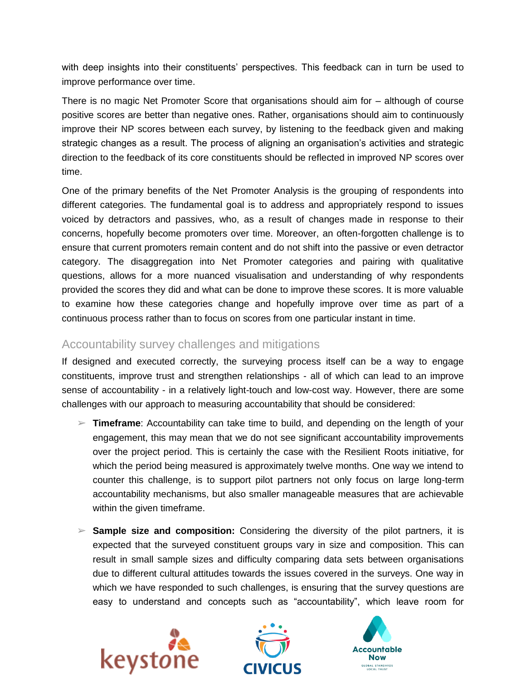with deep insights into their constituents' perspectives. This feedback can in turn be used to improve performance over time.

There is no magic Net Promoter Score that organisations should aim for – although of course positive scores are better than negative ones. Rather, organisations should aim to continuously improve their NP scores between each survey, by listening to the feedback given and making strategic changes as a result. The process of aligning an organisation's activities and strategic direction to the feedback of its core constituents should be reflected in improved NP scores over time.

One of the primary benefits of the Net Promoter Analysis is the grouping of respondents into different categories. The fundamental goal is to address and appropriately respond to issues voiced by detractors and passives, who, as a result of changes made in response to their concerns, hopefully become promoters over time. Moreover, an often-forgotten challenge is to ensure that current promoters remain content and do not shift into the passive or even detractor category. The disaggregation into Net Promoter categories and pairing with qualitative questions, allows for a more nuanced visualisation and understanding of why respondents provided the scores they did and what can be done to improve these scores. It is more valuable to examine how these categories change and hopefully improve over time as part of a continuous process rather than to focus on scores from one particular instant in time.

## Accountability survey challenges and mitigations

If designed and executed correctly, the surveying process itself can be a way to engage constituents, improve trust and strengthen relationships - all of which can lead to an improve sense of accountability - in a relatively light-touch and low-cost way. However, there are some challenges with our approach to measuring accountability that should be considered:

- ➢ **Timeframe**: Accountability can take time to build, and depending on the length of your engagement, this may mean that we do not see significant accountability improvements over the project period. This is certainly the case with the Resilient Roots initiative, for which the period being measured is approximately twelve months. One way we intend to counter this challenge, is to support pilot partners not only focus on large long-term accountability mechanisms, but also smaller manageable measures that are achievable within the given timeframe.
- ➢ **Sample size and composition:** Considering the diversity of the pilot partners, it is expected that the surveyed constituent groups vary in size and composition. This can result in small sample sizes and difficulty comparing data sets between organisations due to different cultural attitudes towards the issues covered in the surveys. One way in which we have responded to such challenges, is ensuring that the survey questions are easy to understand and concepts such as "accountability", which leave room for





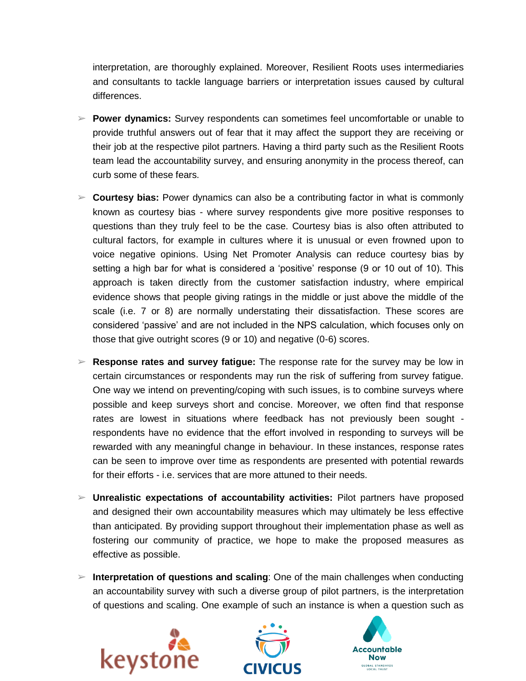interpretation, are thoroughly explained. Moreover, Resilient Roots uses intermediaries and consultants to tackle language barriers or interpretation issues caused by cultural differences.

- ➢ **Power dynamics:** Survey respondents can sometimes feel uncomfortable or unable to provide truthful answers out of fear that it may affect the support they are receiving or their job at the respective pilot partners. Having a third party such as the Resilient Roots team lead the accountability survey, and ensuring anonymity in the process thereof, can curb some of these fears.
- ➢ **Courtesy bias:** Power dynamics can also be a contributing factor in what is commonly known as courtesy bias - where survey respondents give more positive responses to questions than they truly feel to be the case. Courtesy bias is also often attributed to cultural factors, for example in cultures where it is unusual or even frowned upon to voice negative opinions. Using Net Promoter Analysis can reduce courtesy bias by setting a high bar for what is considered a 'positive' response (9 or 10 out of 10). This approach is taken directly from the customer satisfaction industry, where empirical evidence shows that people giving ratings in the middle or just above the middle of the scale (i.e. 7 or 8) are normally understating their dissatisfaction. These scores are considered 'passive' and are not included in the NPS calculation, which focuses only on those that give outright scores (9 or 10) and negative (0-6) scores.
- ➢ **Response rates and survey fatigue:** The response rate for the survey may be low in certain circumstances or respondents may run the risk of suffering from survey fatigue. One way we intend on preventing/coping with such issues, is to combine surveys where possible and keep surveys short and concise. Moreover, we often find that response rates are lowest in situations where feedback has not previously been sought respondents have no evidence that the effort involved in responding to surveys will be rewarded with any meaningful change in behaviour. In these instances, response rates can be seen to improve over time as respondents are presented with potential rewards for their efforts - i.e. services that are more attuned to their needs.
- ➢ **Unrealistic expectations of accountability activities:** Pilot partners have proposed and designed their own accountability measures which may ultimately be less effective than anticipated. By providing support throughout their implementation phase as well as fostering our community of practice, we hope to make the proposed measures as effective as possible.
- ➢ **Interpretation of questions and scaling**: One of the main challenges when conducting an accountability survey with such a diverse group of pilot partners, is the interpretation of questions and scaling. One example of such an instance is when a question such as





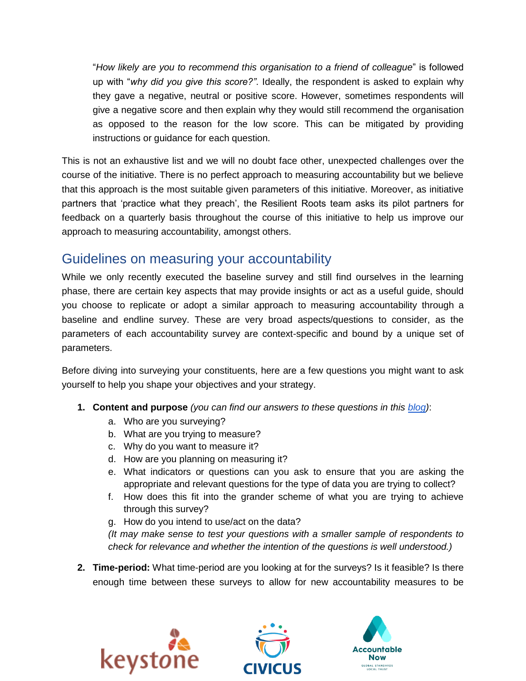"*How likely are you to recommend this organisation to a friend of colleague*" is followed up with "*why did you give this score?"*. Ideally, the respondent is asked to explain why they gave a negative, neutral or positive score. However, sometimes respondents will give a negative score and then explain why they would still recommend the organisation as opposed to the reason for the low score. This can be mitigated by providing instructions or guidance for each question.

This is not an exhaustive list and we will no doubt face other, unexpected challenges over the course of the initiative. There is no perfect approach to measuring accountability but we believe that this approach is the most suitable given parameters of this initiative. Moreover, as initiative partners that 'practice what they preach', the Resilient Roots team asks its pilot partners for feedback on a quarterly basis throughout the course of this initiative to help us improve our approach to measuring accountability, amongst others.

# Guidelines on measuring your accountability

While we only recently executed the baseline survey and still find ourselves in the learning phase, there are certain key aspects that may provide insights or act as a useful guide, should you choose to replicate or adopt a similar approach to measuring accountability through a baseline and endline survey. These are very broad aspects/questions to consider, as the parameters of each accountability survey are context-specific and bound by a unique set of parameters.

Before diving into surveying your constituents, here are a few questions you might want to ask yourself to help you shape your objectives and your strategy.

- **1. Content and purpose** *(you can find our answers to these questions in this [blog\)](https://www.civicus.org/index.php/media-resources/news/blog/3610-thinking-about-how-to-measure-your-organisation-s-accountability)*:
	- a. Who are you surveying?
	- b. What are you trying to measure?
	- c. Why do you want to measure it?
	- d. How are you planning on measuring it?
	- e. What indicators or questions can you ask to ensure that you are asking the appropriate and relevant questions for the type of data you are trying to collect?
	- f. How does this fit into the grander scheme of what you are trying to achieve through this survey?
	- g. How do you intend to use/act on the data?

*(It may make sense to test your questions with a smaller sample of respondents to check for relevance and whether the intention of the questions is well understood.)*

**2. Time-period:** What time-period are you looking at for the surveys? Is it feasible? Is there enough time between these surveys to allow for new accountability measures to be





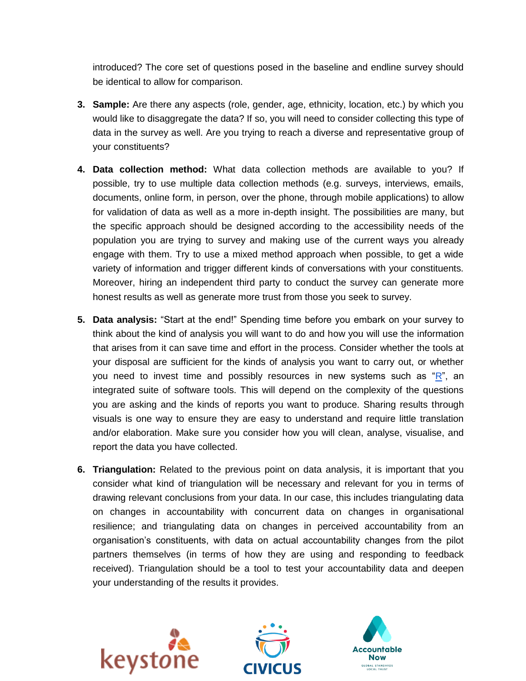introduced? The core set of questions posed in the baseline and endline survey should be identical to allow for comparison.

- **3. Sample:** Are there any aspects (role, gender, age, ethnicity, location, etc.) by which you would like to disaggregate the data? If so, you will need to consider collecting this type of data in the survey as well. Are you trying to reach a diverse and representative group of your constituents?
- **4. Data collection method:** What data collection methods are available to you? If possible, try to use multiple data collection methods (e.g. surveys, interviews, emails, documents, online form, in person, over the phone, through mobile applications) to allow for validation of data as well as a more in-depth insight. The possibilities are many, but the specific approach should be designed according to the accessibility needs of the population you are trying to survey and making use of the current ways you already engage with them. Try to use a mixed method approach when possible, to get a wide variety of information and trigger different kinds of conversations with your constituents. Moreover, hiring an independent third party to conduct the survey can generate more honest results as well as generate more trust from those you seek to survey.
- **5. Data analysis:** "Start at the end!" Spending time before you embark on your survey to think about the kind of analysis you will want to do and how you will use the information that arises from it can save time and effort in the process. Consider whether the tools at your disposal are sufficient for the kinds of analysis you want to carry out, or whether you need to invest time and possibly resources in new systems such as ["R"](https://www.r-project.org/about.html), an integrated suite of software tools. This will depend on the complexity of the questions you are asking and the kinds of reports you want to produce. Sharing results through visuals is one way to ensure they are easy to understand and require little translation and/or elaboration. Make sure you consider how you will clean, analyse, visualise, and report the data you have collected.
- **6. Triangulation:** Related to the previous point on data analysis, it is important that you consider what kind of triangulation will be necessary and relevant for you in terms of drawing relevant conclusions from your data. In our case, this includes triangulating data on changes in accountability with concurrent data on changes in organisational resilience; and triangulating data on changes in perceived accountability from an organisation's constituents, with data on actual accountability changes from the pilot partners themselves (in terms of how they are using and responding to feedback received). Triangulation should be a tool to test your accountability data and deepen your understanding of the results it provides.





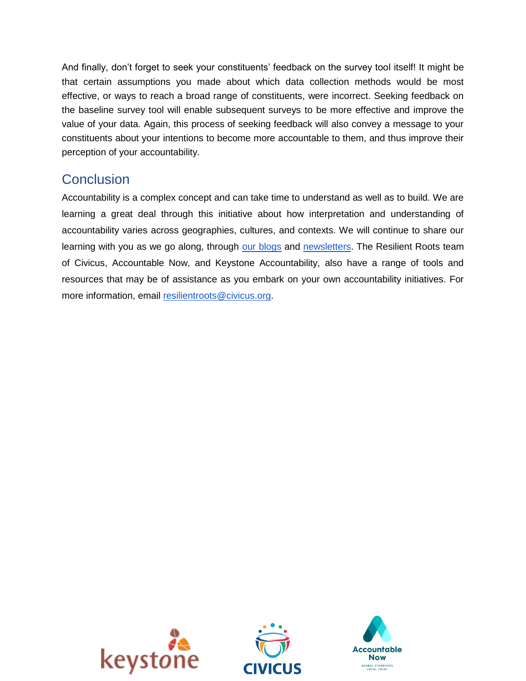And finally, don't forget to seek your constituents' feedback on the survey tool itself! It might be that certain assumptions you made about which data collection methods would be most effective, or ways to reach a broad range of constituents, were incorrect. Seeking feedback on the baseline survey tool will enable subsequent surveys to be more effective and improve the value of your data. Again, this process of seeking feedback will also convey a message to your constituents about your intentions to become more accountable to them, and thus improve their perception of your accountability.

# **Conclusion**

Accountability is a complex concept and can take time to understand as well as to build. We are learning a great deal through this initiative about how interpretation and understanding of accountability varies across geographies, cultures, and contexts. We will continue to share our learning with you as we go along, through [our blogs](https://www.civicus.org/index.php/media-center/news/civicus-blog/resilient-roots) and [newsletters.](https://accountablenow.us15.list-manage.com/subscribe?u=ef27ffa1277500eaee80929c1&id=cd611c107b) The Resilient Roots team of Civicus, Accountable Now, and Keystone Accountability, also have a range of tools and resources that may be of assistance as you embark on your own accountability initiatives. For more information, email [resilientroots@civicus.org.](mailto:resilientroots@civicus.org)



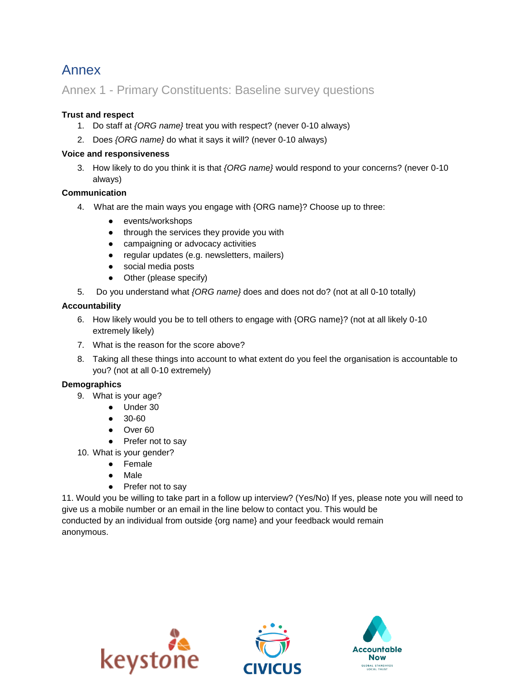# Annex

## Annex 1 - Primary Constituents: Baseline survey questions

#### **Trust and respect**

- 1. Do staff at *{ORG name}* treat you with respect? (never 0-10 always)
- 2. Does *{ORG name}* do what it says it will? (never 0-10 always)

#### **Voice and responsiveness**

3. How likely to do you think it is that *{ORG name}* would respond to your concerns? (never 0-10 always)

#### **Communication**

- 4. What are the main ways you engage with {ORG name}? Choose up to three:
	- events/workshops
	- through the services they provide you with
	- campaigning or advocacy activities
	- regular updates (e.g. newsletters, mailers)
	- social media posts
	- Other (please specify)
- 5. Do you understand what *{ORG name}* does and does not do? (not at all 0-10 totally)

#### **Accountability**

- 6. How likely would you be to tell others to engage with {ORG name}? (not at all likely 0-10 extremely likely)
- 7. What is the reason for the score above?
- 8. Taking all these things into account to what extent do you feel the organisation is accountable to you? (not at all 0-10 extremely)

#### **Demographics**

- 9. What is your age?
	- Under 30
	- 30-60
	- Over 60
	- Prefer not to say

10. What is your gender?

- Female
- Male
- Prefer not to say

11. Would you be willing to take part in a follow up interview? (Yes/No) If yes, please note you will need to give us a mobile number or an email in the line below to contact you. This would be conducted by an individual from outside {org name} and your feedback would remain anonymous.